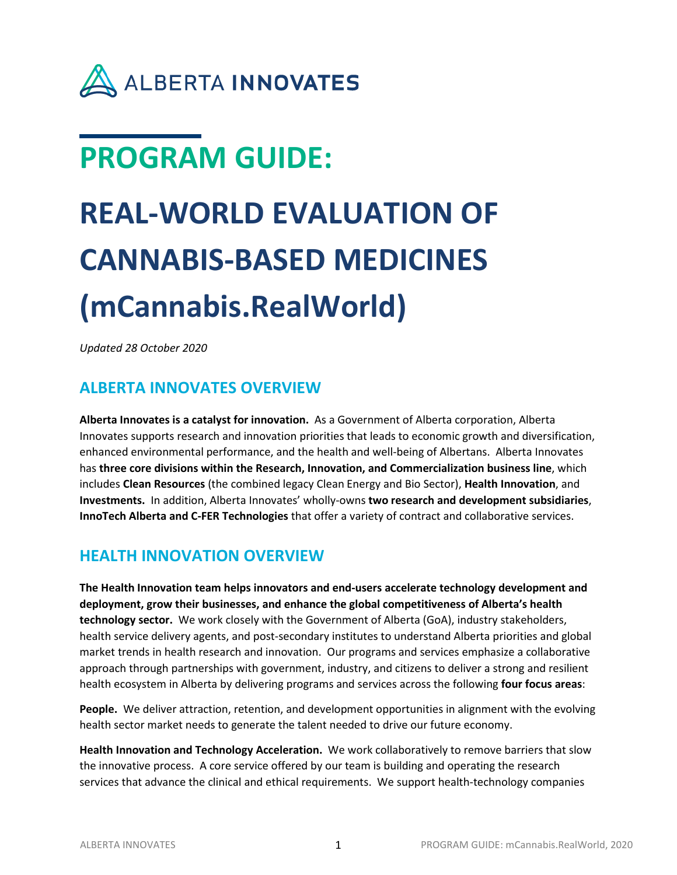

## **PROGRAM GUIDE:**

# **REAL-WORLD EVALUATION OF CANNABIS-BASED MEDICINES (mCannabis.RealWorld)**

*Updated 28 October 2020* 

## **ALBERTA INNOVATES OVERVIEW**

**Alberta Innovates is a catalyst for innovation.** As a Government of Alberta corporation, Alberta Innovates supports research and innovation priorities that leads to economic growth and diversification, enhanced environmental performance, and the health and well-being of Albertans. Alberta Innovates has **three core divisions within the Research, Innovation, and Commercialization business line**, which includes **Clean Resources** (the combined legacy Clean Energy and Bio Sector), **Health Innovation**, and **Investments.** In addition, Alberta Innovates' wholly-owns **two research and development subsidiaries**, **InnoTech Alberta and C-FER Technologies** that offer a variety of contract and collaborative services.

## **HEALTH INNOVATION OVERVIEW**

**The Health Innovation team helps innovators and end-users accelerate technology development and deployment, grow their businesses, and enhance the global competitiveness of Alberta's health technology sector.** We work closely with the Government of Alberta (GoA), industry stakeholders, health service delivery agents, and post-secondary institutes to understand Alberta priorities and global market trends in health research and innovation. Our programs and services emphasize a collaborative approach through partnerships with government, industry, and citizens to deliver a strong and resilient health ecosystem in Alberta by delivering programs and services across the following **four focus areas**:

**People.** We deliver attraction, retention, and development opportunities in alignment with the evolving health sector market needs to generate the talent needed to drive our future economy.

**Health Innovation and Technology Acceleration.** We work collaboratively to remove barriers that slow the innovative process. A core service offered by our team is building and operating the research services that advance the clinical and ethical requirements. We support health-technology companies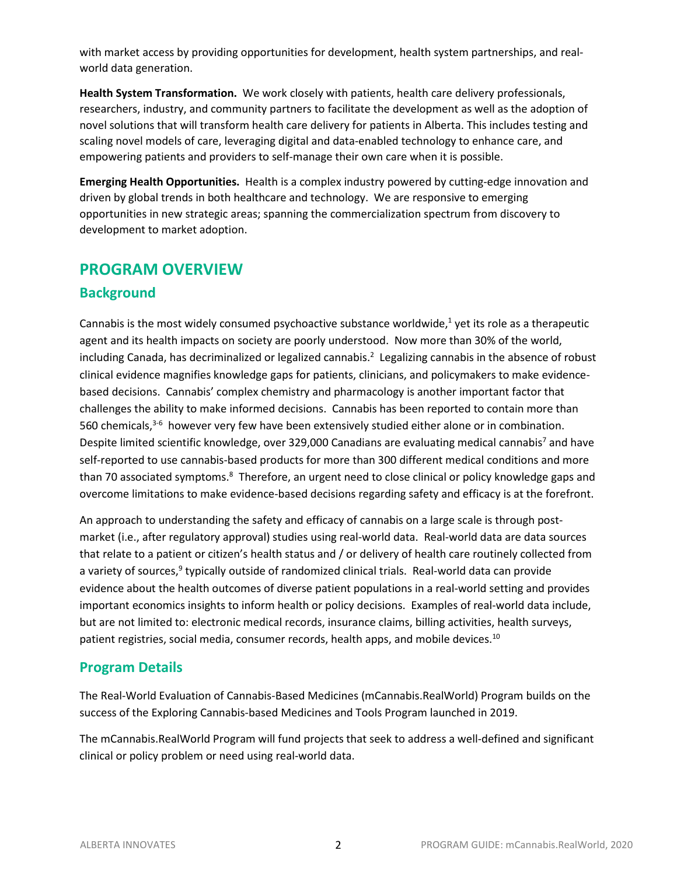with market access by providing opportunities for development, health system partnerships, and realworld data generation.

**Health System Transformation.** We work closely with patients, health care delivery professionals, researchers, industry, and community partners to facilitate the development as well as the adoption of novel solutions that will transform health care delivery for patients in Alberta. This includes testing and scaling novel models of care, leveraging digital and data-enabled technology to enhance care, and empowering patients and providers to self-manage their own care when it is possible.

**Emerging Health Opportunities.** Health is a complex industry powered by cutting-edge innovation and driven by global trends in both healthcare and technology. We are responsive to emerging opportunities in new strategic areas; spanning the commercialization spectrum from discovery to development to market adoption.

## **PROGRAM OVERVIEW**

## **Background**

Cannabis is the most widely consumed psychoactive substance worldwide, $<sup>1</sup>$  yet its role as a therapeutic</sup> agent and its health impacts on society are poorly understood. Now more than 30% of the world, including Canada, has decriminalized or legalized cannabis.<sup>2</sup> Legalizing cannabis in the absence of robust clinical evidence magnifies knowledge gaps for patients, clinicians, and policymakers to make evidencebased decisions. Cannabis' complex chemistry and pharmacology is another important factor that challenges the ability to make informed decisions. Cannabis has been reported to contain more than 560 chemicals,<sup>3-6</sup> however very few have been extensively studied either alone or in combination. Despite limited scientific knowledge, over 329,000 Canadians are evaluating medical cannabis<sup>7</sup> and have self-reported to use cannabis-based products for more than 300 different medical conditions and more than 70 associated symptoms.<sup>8</sup> Therefore, an urgent need to close clinical or policy knowledge gaps and overcome limitations to make evidence-based decisions regarding safety and efficacy is at the forefront.

An approach to understanding the safety and efficacy of cannabis on a large scale is through postmarket (i.e., after regulatory approval) studies using real-world data. Real-world data are data sources that relate to a patient or citizen's health status and / or delivery of health care routinely collected from a variety of sources,<sup>9</sup> typically outside of randomized clinical trials. Real-world data can provide evidence about the health outcomes of diverse patient populations in a real-world setting and provides important economics insights to inform health or policy decisions. Examples of real-world data include, but are not limited to: electronic medical records, insurance claims, billing activities, health surveys, patient registries, social media, consumer records, health apps, and mobile devices.<sup>10</sup>

## **Program Details**

The Real-World Evaluation of Cannabis-Based Medicines (mCannabis.RealWorld) Program builds on the success of the Exploring Cannabis-based Medicines and Tools Program launched in 2019.

The mCannabis.RealWorld Program will fund projects that seek to address a well-defined and significant clinical or policy problem or need using real-world data.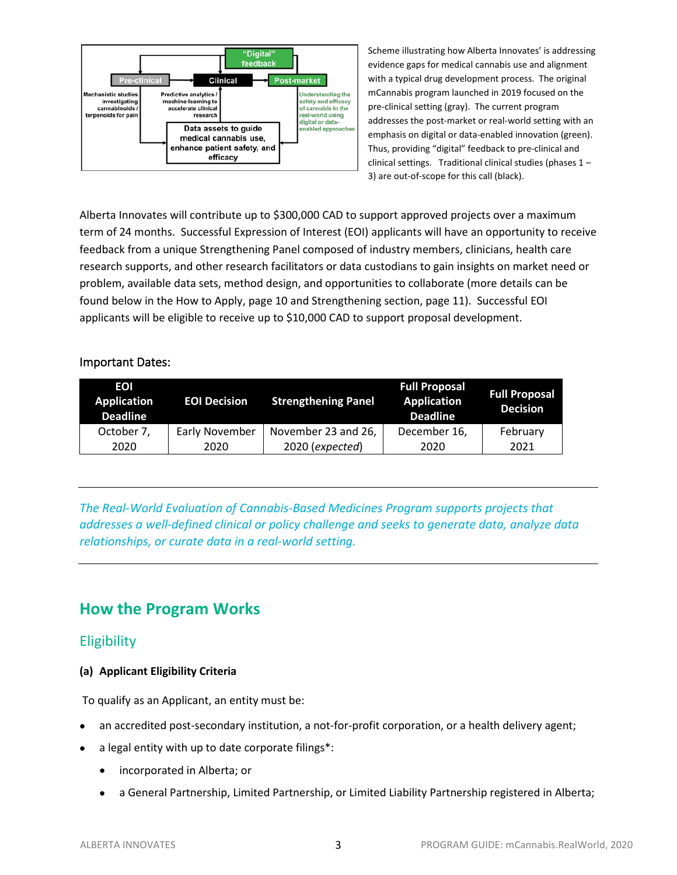

Scheme illustrating how Alberta Innovates' is addressing evidence gaps for medical cannabis use and alignment with a typical drug development process. The original mCannabis program launched in 2019 focused on the pre-clinical setting (gray). The current program addresses the post-market or real-world setting with an emphasis on digital or data-enabled innovation (green). Thus, providing "digital" feedback to pre-clinical and clinical settings. Traditional clinical studies (phases 1 – 3) are out-of-scope for this call (black).

Alberta Innovates will contribute up to \$300,000 CAD to support approved projects over a maximum term of 24 months. Successful Expression of Interest (EOI) applicants will have an opportunity to receive feedback from a unique Strengthening Panel composed of industry members, clinicians, health care research supports, and other research facilitators or data custodians to gain insights on market need or problem, available data sets, method design, and opportunities to collaborate (more details can be found below in the How to Apply, page 10 and Strengthening section, page 11). Successful EOI applicants will be eligible to receive up to \$10,000 CAD to support proposal development.

#### Important Dates:

| EOI<br><b>Application</b><br><b>Deadline</b> | <b>EOI Decision</b> | <b>Strengthening Panel</b> | <b>Full Proposal</b><br><b>Application</b><br><b>Deadline</b> | <b>Full Proposal</b><br><b>Decision</b> |
|----------------------------------------------|---------------------|----------------------------|---------------------------------------------------------------|-----------------------------------------|
| October 7,                                   | Early November      | November 23 and 26,        | December 16,                                                  | February                                |
| 2020                                         | 2020                | 2020 (expected)            | 2020                                                          | 2021                                    |

*The Real-World Evaluation of Cannabis-Based Medicines Program supports projects that addresses a well-defined clinical or policy challenge and seeks to generate data, analyze data relationships, or curate data in a real-world setting.* 

## **How the Program Works**

#### **Eligibility**

#### **(a) Applicant Eligibility Criteria**

To qualify as an Applicant, an entity must be:

- an accredited post-secondary institution, a not-for-profit corporation, or a health delivery agent;
- a legal entity with up to date corporate filings\*:
	- incorporated in Alberta; or
	- a General Partnership, Limited Partnership, or Limited Liability Partnership registered in Alberta;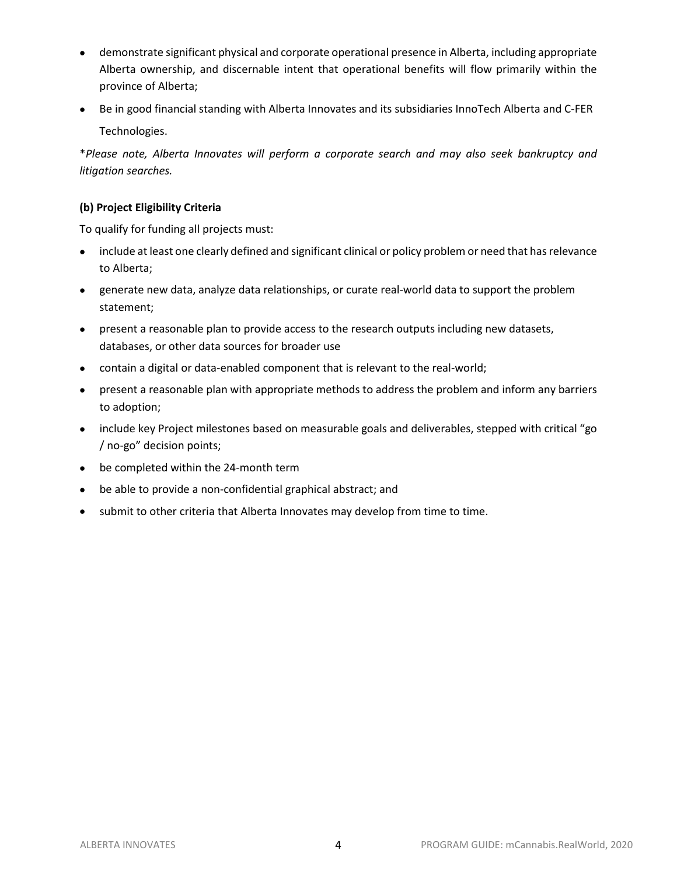- demonstrate significant physical and corporate operational presence in Alberta, including appropriate Alberta ownership, and discernable intent that operational benefits will flow primarily within the province of Alberta;
- Be in good financial standing with Alberta Innovates and its subsidiaries InnoTech Alberta and C-FER Technologies.

\**Please note, Alberta Innovates will perform a corporate search and may also seek bankruptcy and litigation searches.*

#### **(b) Project Eligibility Criteria**

To qualify for funding all projects must:

- include at least one clearly defined and significant clinical or policy problem or need that has relevance to Alberta;
- generate new data, analyze data relationships, or curate real-world data to support the problem statement;
- present a reasonable plan to provide access to the research outputs including new datasets, databases, or other data sources for broader use
- contain a digital or data-enabled component that is relevant to the real-world;
- present a reasonable plan with appropriate methods to address the problem and inform any barriers to adoption;
- include key Project milestones based on measurable goals and deliverables, stepped with critical "go / no-go" decision points;
- be completed within the 24-month term
- be able to provide a non-confidential graphical abstract; and
- submit to other criteria that Alberta Innovates may develop from time to time.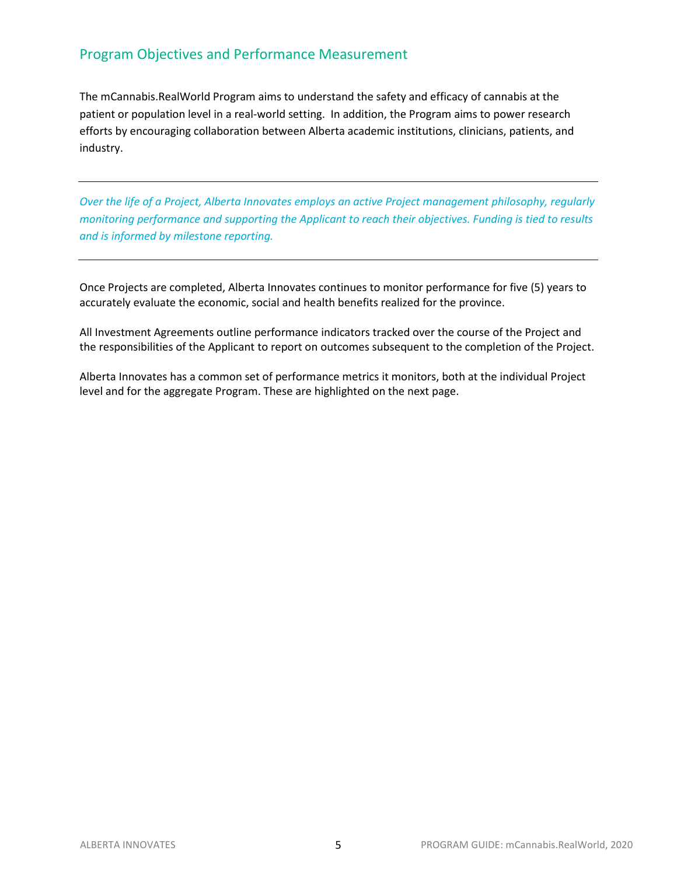## Program Objectives and Performance Measurement

The mCannabis.RealWorld Program aims to understand the safety and efficacy of cannabis at the patient or population level in a real-world setting. In addition, the Program aims to power research efforts by encouraging collaboration between Alberta academic institutions, clinicians, patients, and industry.

*Over the life of a Project, Alberta Innovates employs an active Project management philosophy, regularly monitoring performance and supporting the Applicant to reach their objectives. Funding is tied to results and is informed by milestone reporting.* 

Once Projects are completed, Alberta Innovates continues to monitor performance for five (5) years to accurately evaluate the economic, social and health benefits realized for the province.

All Investment Agreements outline performance indicators tracked over the course of the Project and the responsibilities of the Applicant to report on outcomes subsequent to the completion of the Project.

Alberta Innovates has a common set of performance metrics it monitors, both at the individual Project level and for the aggregate Program. These are highlighted on the next page.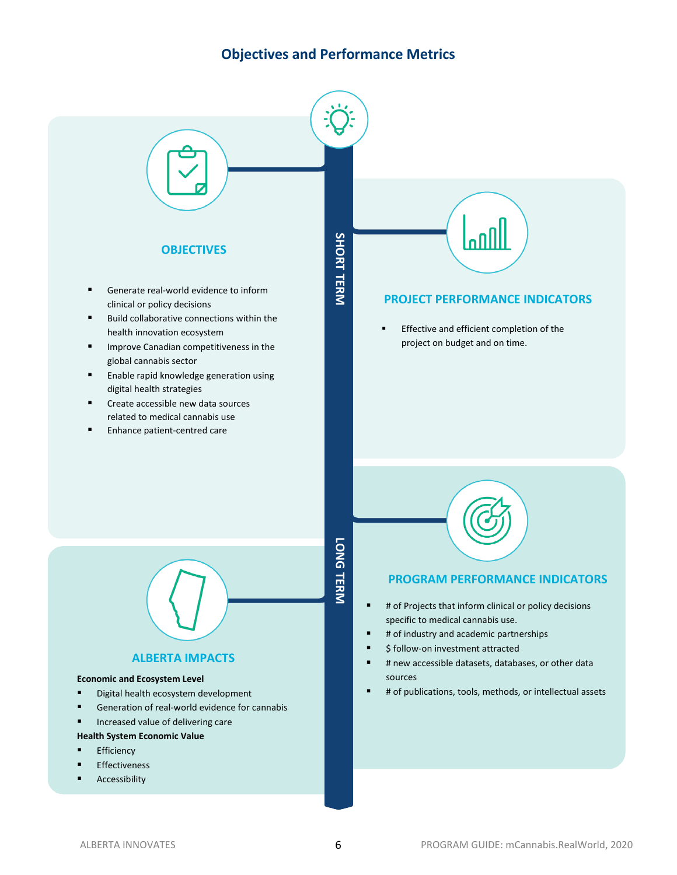## **Objectives and Performance Metrics**

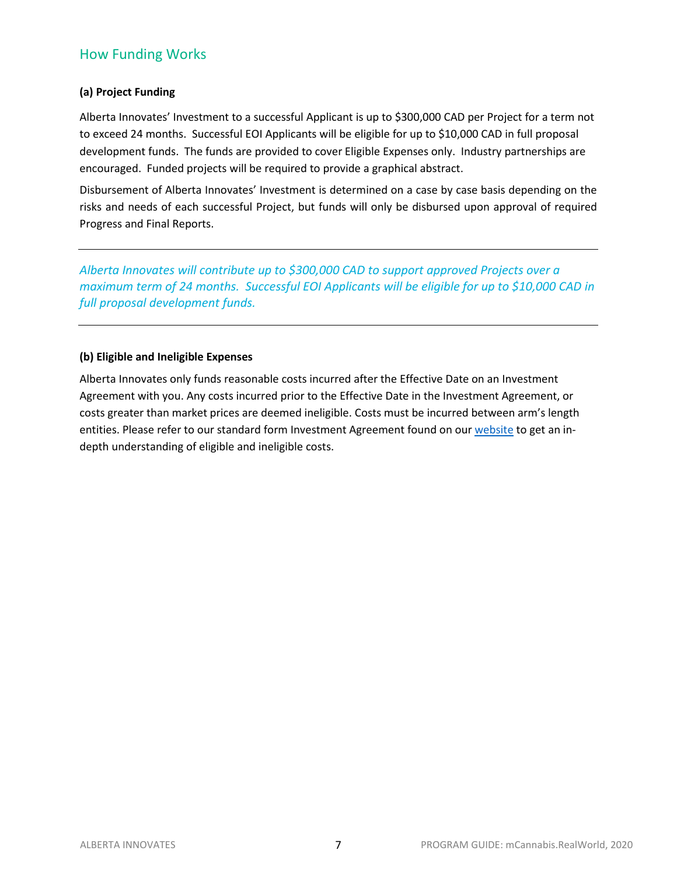## How Funding Works

#### **(a) Project Funding**

Alberta Innovates' Investment to a successful Applicant is up to \$300,000 CAD per Project for a term not to exceed 24 months. Successful EOI Applicants will be eligible for up to \$10,000 CAD in full proposal development funds. The funds are provided to cover Eligible Expenses only. Industry partnerships are encouraged. Funded projects will be required to provide a graphical abstract.

Disbursement of Alberta Innovates' Investment is determined on a case by case basis depending on the risks and needs of each successful Project, but funds will only be disbursed upon approval of required Progress and Final Reports.

*Alberta Innovates will contribute up to \$300,000 CAD to support approved Projects over a maximum term of 24 months. Successful EOI Applicants will be eligible for up to \$10,000 CAD in full proposal development funds.* 

#### **(b) Eligible and Ineligible Expenses**

Alberta Innovates only funds reasonable costs incurred after the Effective Date on an Investment Agreement with you. Any costs incurred prior to the Effective Date in the Investment Agreement, or costs greater than market prices are deemed ineligible. Costs must be incurred between arm's length entities. Please refer to our standard form Investment Agreement found on ou[r website](https://albertainnovates.ca/programs/mcannabisrealworld/) to get an indepth understanding of eligible and ineligible costs.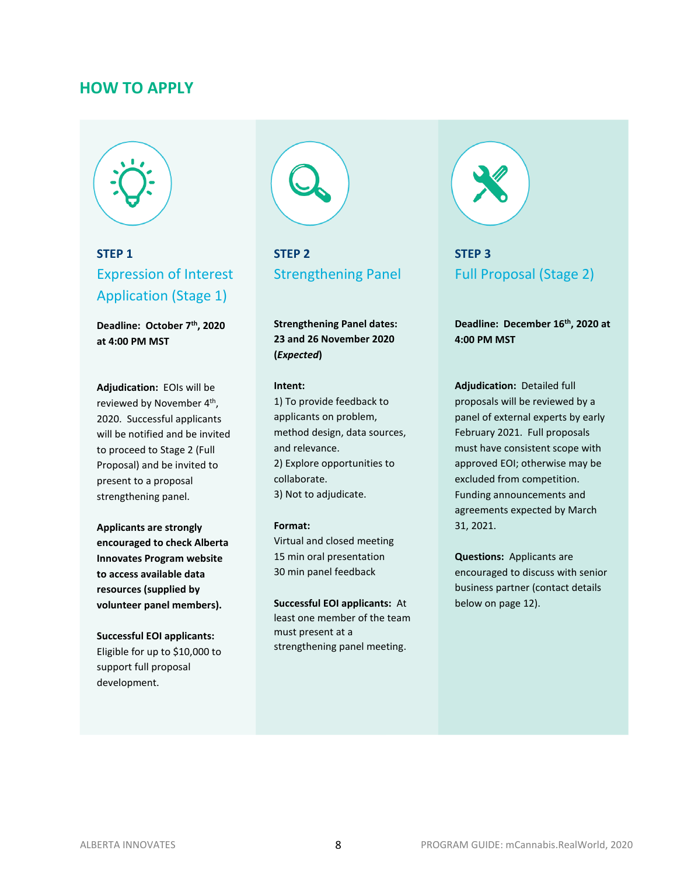### **HOW TO APPLY**



## **STEP 1** Expression of Interest Application (Stage 1)

**Deadline: October 7th, 2020 at 4:00 PM MST**

**Adjudication:** EOIs will be reviewed by November 4th, 2020. Successful applicants will be notified and be invited to proceed to Stage 2 (Full Proposal) and be invited to present to a proposal strengthening panel.

**Applicants are strongly encouraged to check Alberta Innovates Program website to access available data resources (supplied by volunteer panel members).**

**Successful EOI applicants:**  Eligible for up to \$10,000 to support full proposal development.



**STEP 2** Strengthening Panel

**Strengthening Panel dates: 23 and 26 November 2020 (***Expected***)**

#### **Intent:**

1) To provide feedback to applicants on problem, method design, data sources, and relevance. 2) Explore opportunities to collaborate. 3) Not to adjudicate.

#### **Format:**

Virtual and closed meeting 15 min oral presentation 30 min panel feedback

**Successful EOI applicants:** At least one member of the team must present at a strengthening panel meeting.



## **STEP 3** Full Proposal (Stage 2)

**Deadline: December 16th, 2020 at 4:00 PM MST**

**Adjudication:** Detailed full proposals will be reviewed by a panel of external experts by early February 2021. Full proposals must have consistent scope with approved EOI; otherwise may be excluded from competition. Funding announcements and agreements expected by March 31, 2021.

**Questions:** Applicants are encouraged to discuss with senior business partner (contact details below on page 12).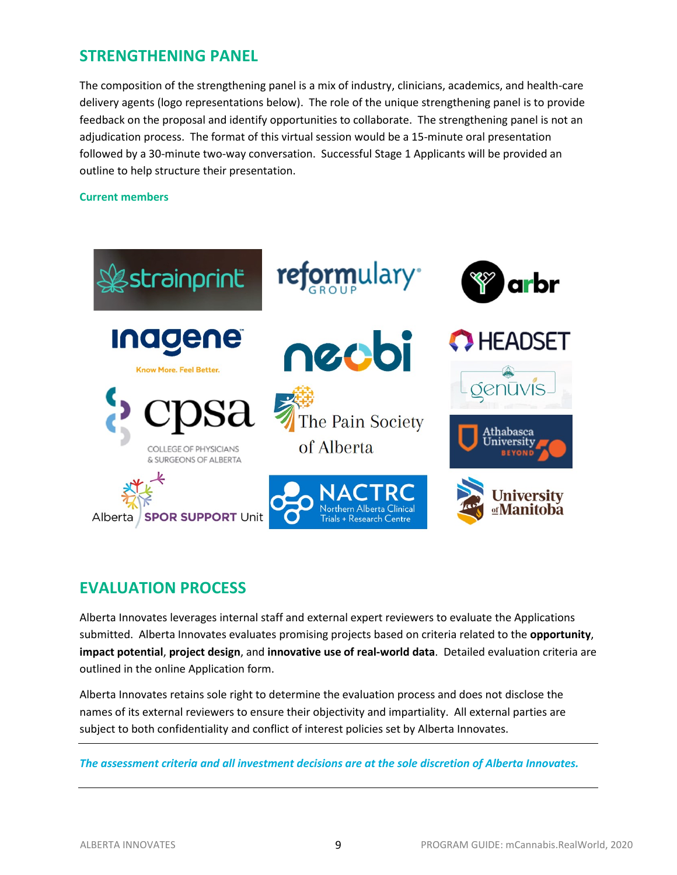## **STRENGTHENING PANEL**

The composition of the strengthening panel is a mix of industry, clinicians, academics, and health-care delivery agents (logo representations below). The role of the unique strengthening panel is to provide feedback on the proposal and identify opportunities to collaborate. The strengthening panel is not an adjudication process. The format of this virtual session would be a 15-minute oral presentation followed by a 30-minute two-way conversation. Successful Stage 1 Applicants will be provided an outline to help structure their presentation.

#### **Current members**



## **EVALUATION PROCESS**

Alberta Innovates leverages internal staff and external expert reviewers to evaluate the Applications submitted. Alberta Innovates evaluates promising projects based on criteria related to the **opportunity**, **impact potential**, **project design**, and **innovative use of real-world data**. Detailed evaluation criteria are outlined in the online Application form.

Alberta Innovates retains sole right to determine the evaluation process and does not disclose the names of its external reviewers to ensure their objectivity and impartiality. All external parties are subject to both confidentiality and conflict of interest policies set by Alberta Innovates.

*The assessment criteria and all investment decisions are at the sole discretion of Alberta Innovates.*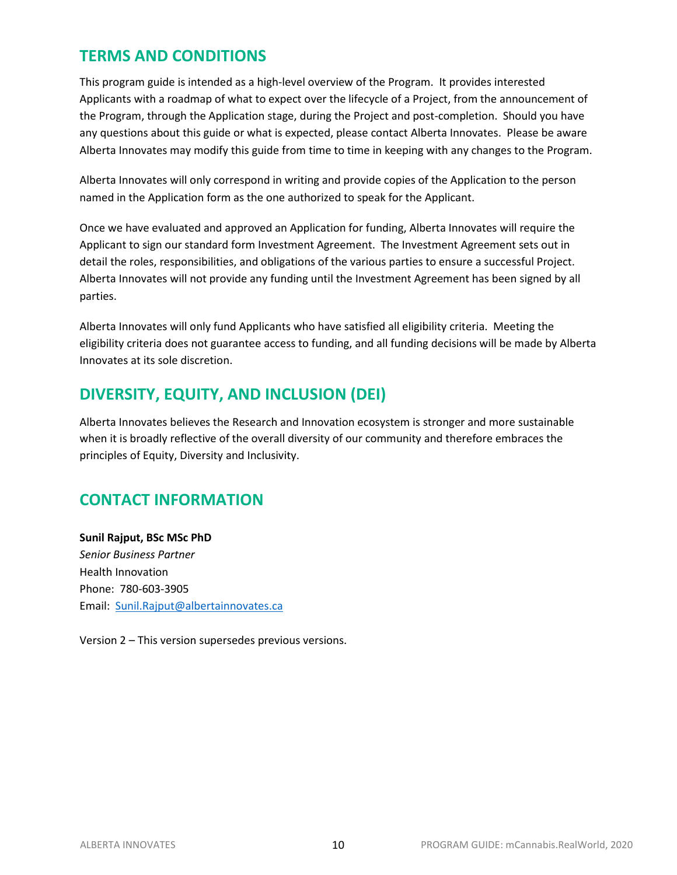## **TERMS AND CONDITIONS**

This program guide is intended as a high-level overview of the Program. It provides interested Applicants with a roadmap of what to expect over the lifecycle of a Project, from the announcement of the Program, through the Application stage, during the Project and post-completion. Should you have any questions about this guide or what is expected, please contact Alberta Innovates. Please be aware Alberta Innovates may modify this guide from time to time in keeping with any changes to the Program.

Alberta Innovates will only correspond in writing and provide copies of the Application to the person named in the Application form as the one authorized to speak for the Applicant.

Once we have evaluated and approved an Application for funding, Alberta Innovates will require the Applicant to sign our standard form Investment Agreement. The Investment Agreement sets out in detail the roles, responsibilities, and obligations of the various parties to ensure a successful Project. Alberta Innovates will not provide any funding until the Investment Agreement has been signed by all parties.

Alberta Innovates will only fund Applicants who have satisfied all eligibility criteria. Meeting the eligibility criteria does not guarantee access to funding, and all funding decisions will be made by Alberta Innovates at its sole discretion.

## **DIVERSITY, EQUITY, AND INCLUSION (DEI)**

Alberta Innovates believes the Research and Innovation ecosystem is stronger and more sustainable when it is broadly reflective of the overall diversity of our community and therefore embraces the principles of Equity, Diversity and Inclusivity.

## **CONTACT INFORMATION**

**Sunil Rajput, BSc MSc PhD** *Senior Business Partner* Health Innovation Phone: 780-603-3905 Email: [Sunil.Rajput@albertainnovates.ca](mailto:Sunil.Rajput@albertainnovates.ca)

Version 2 – This version supersedes previous versions.